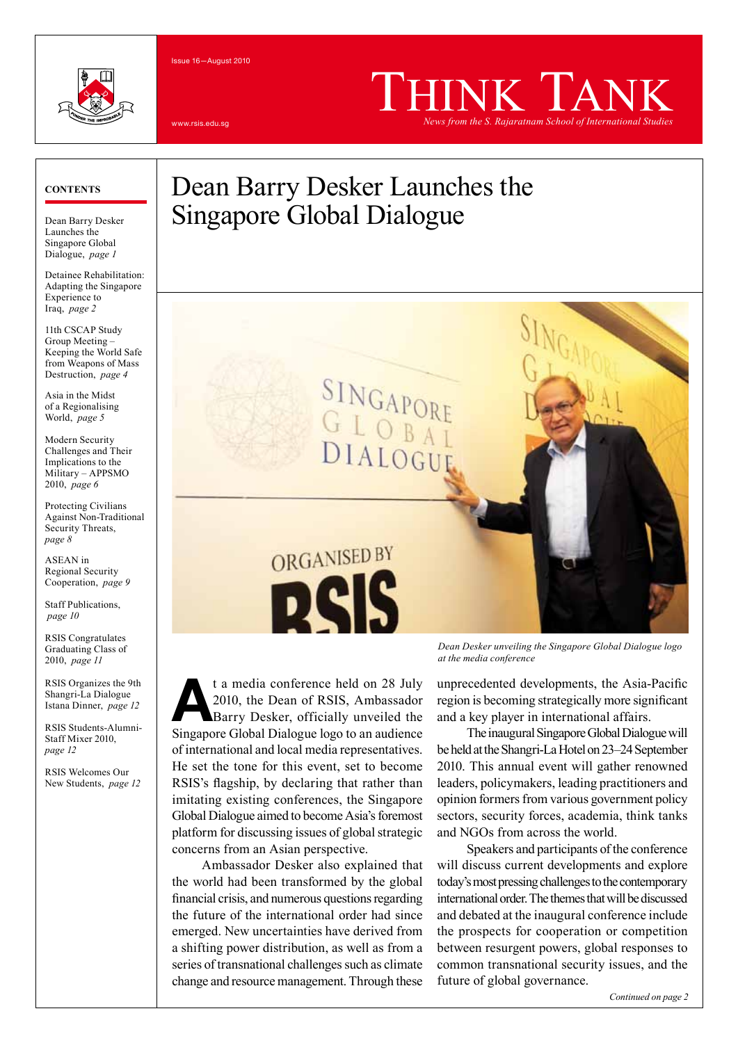#### Issue 16—August 2010





# THINK TANK *News from the S. Rajaratnam School of International Studies*

#### **Contents**

Dean Barry Desker Launches the Singapore Global Dialogue, *page 1*

Detainee Rehabilitation: Adapting the Singapore Experience to Iraq, *page 2*

11th CSCAP Study Group Meeting – Keeping the World Safe from Weapons of Mass Destruction, *page 4*

Asia in the Midst of a Regionalising World, *page 5*

Modern Security Challenges and Their Implications to the Military – APPSMO 2010, *page 6*

Protecting Civilians Against Non-Traditional Security Threats, *page 8*

ASEAN in Regional Security Cooperation, *page 9*

Staff Publications, *page 10*

RSIS Congratulates Graduating Class of 2010, *page 11*

RSIS Organizes the 9th Shangri-La Dialogue Istana Dinner, *page 12*

RSIS Students-Alumni-Staff Mixer 2010, *page 12*

RSIS Welcomes Our New Students, *page 12*

# Dean Barry Desker Launches the Singapore Global Dialogue

SINGAPORI

DIALOGUE

GIOB



ORGANISED BY

N

Ambassador Desker also explained that the world had been transformed by the global financial crisis, and numerous questions regarding the future of the international order had since emerged. New uncertainties have derived from a shifting power distribution, as well as from a series of transnational challenges such as climate change and resource management. Through these

*Dean Desker unveiling the Singapore Global Dialogue logo at the media conference*

unprecedented developments, the Asia-Pacific region is becoming strategically more significant and a key player in international affairs.

The inaugural Singapore Global Dialogue will be held at the Shangri-La Hotel on 23–24 September 2010. This annual event will gather renowned leaders, policymakers, leading practitioners and opinion formers from various government policy sectors, security forces, academia, think tanks and NGOs from across the world.

Speakers and participants of the conference will discuss current developments and explore today's most pressing challenges to the contemporary international order. The themes that will be discussed and debated at the inaugural conference include the prospects for cooperation or competition between resurgent powers, global responses to common transnational security issues, and the future of global governance.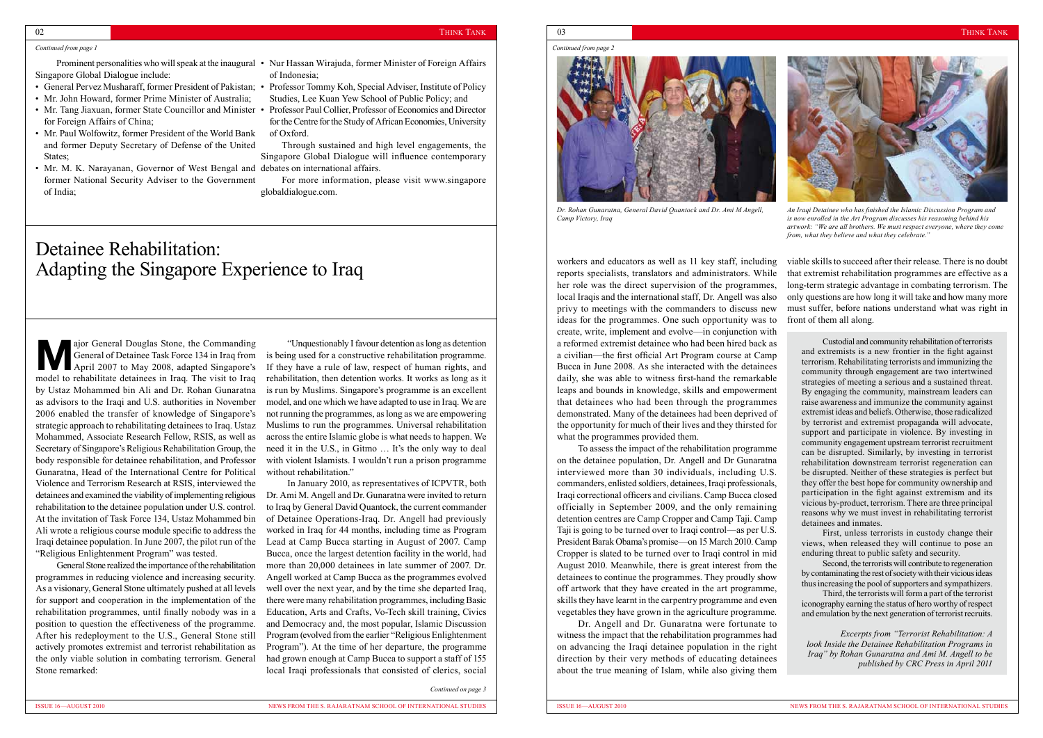# Detainee Rehabilitation: Adapting the Singapore Experience to Iraq

#### *Continued from page 1*

**Major General Douglas Stone, the Commanding<br>General of Detainee Task Force 134 in Iraq from<br>April 2007 to May 2008, adapted Singapore's<br>model to polarities detained in Iraq, The pick to Iraq,** April 2007 to May 2008, adapted Singapore's model to rehabilitate detainees in Iraq. The visit to Iraq by Ustaz Mohammed bin Ali and Dr. Rohan Gunaratna as advisors to the Iraqi and U.S. authorities in November 2006 enabled the transfer of knowledge of Singapore's strategic approach to rehabilitating detainees to Iraq. Ustaz Mohammed, Associate Research Fellow, RSIS, as well as Secretary of Singapore's Religious Rehabilitation Group, the body responsible for detainee rehabilitation, and Professor Gunaratna, Head of the International Centre for Political Violence and Terrorism Research at RSIS, interviewed the detainees and examined the viability of implementing religious rehabilitation to the detainee population under U.S. control. At the invitation of Task Force 134, Ustaz Mohammed bin Ali wrote a religious course module specific to address the Iraqi detainee population. In June 2007, the pilot run of the "Religious Enlightenment Program" was tested.

General of Detainee Task Force 134 in Iraq from is being used for a constructive rehabilitation programme. "Unquestionably I favour detention as long as detention If they have a rule of law, respect of human rights, and rehabilitation, then detention works. It works as long as it is run by Muslims. Singapore's programme is an excellent model, and one which we have adapted to use in Iraq. We are not running the programmes, as long as we are empowering Muslims to run the programmes. Universal rehabilitation across the entire Islamic globe is what needs to happen. We need it in the U.S., in Gitmo … It's the only way to deal with violent Islamists. I wouldn't run a prison programme without rehabilitation."

General Stone realized the importance of the rehabilitation programmes in reducing violence and increasing security. As a visionary, General Stone ultimately pushed at all levels for support and cooperation in the implementation of the rehabilitation programmes, until finally nobody was in a position to question the effectiveness of the programme. After his redeployment to the U.S., General Stone still actively promotes extremist and terrorist rehabilitation as the only viable solution in combating terrorism. General Stone remarked:

- Prominent personalities who will speak at the inaugural Nur Hassan Wirajuda, former Minister of Foreign Affairs of Indonesia;
	- Studies, Lee Kuan Yew School of Public Policy; and
	- Professor Paul Collier, Professor of Economics and Director for the Centre for the Study of African Economies, University of Oxford.

In January 2010, as representatives of ICPVTR, both Dr. Ami M. Angell and Dr. Gunaratna were invited to return to Iraq by General David Quantock, the current commander of Detainee Operations-Iraq. Dr. Angell had previously worked in Iraq for 44 months, including time as Program Lead at Camp Bucca starting in August of 2007. Camp Bucca, once the largest detention facility in the world, had more than 20,000 detainees in late summer of 2007. Dr. Angell worked at Camp Bucca as the programmes evolved well over the next year, and by the time she departed Iraq, there were many rehabilitation programmes, including Basic Education, Arts and Crafts, Vo-Tech skill training, Civics and Democracy and, the most popular, Islamic Discussion Program (evolved from the earlier "Religious Enlightenment Program"). At the time of her departure, the programme had grown enough at Camp Bucca to support a staff of 155 local Iraqi professionals that consisted of clerics, social



*Dr. Rohan Gunaratna, General David Quantock and Dr. Ami M Angell, Camp Victory, Iraq*



*An Iraqi Detainee who has finished the Islamic Discussion Program and is now enrolled in the Art Program discusses his reasoning behind his artwork: "We are all brothers. We must respect everyone, where they come from, what they believe and what they celebrate."*

Singapore Global Dialogue include:

- General Pervez Musharaff, former President of Pakistan; Professor Tommy Koh, Special Adviser, Institute of Policy
- Mr. John Howard, former Prime Minister of Australia;
- Mr. Tang Jiaxuan, former State Councillor and Minister for Foreign Affairs of China;
- Mr. Paul Wolfowitz, former President of the World Bank and former Deputy Secretary of Defense of the United States;
- Mr. M. K. Narayanan, Governor of West Bengal and debates on international affairs. former National Security Adviser to the Government of India;

Through sustained and high level engagements, the Singapore Global Dialogue will influence contemporary

For more information, please visit www.singapore globaldialogue.com.

> on the detainee population, Dr. Angell and Dr Gunaratna interviewed more than 30 individuals, including U.S. commanders, enlisted soldiers, detainees, Iraqi professionals, Iraqi correctional officers and civilians. Camp Bucca closed officially in September 2009, and the only remaining detention centres are Camp Cropper and Camp Taji. Camp Taji is going to be turned over to Iraqi control—as per U.S. President Barak Obama's promise—on 15 March 2010. Camp Cropper is slated to be turned over to Iraqi control in mid August 2010. Meanwhile, there is great interest from the detainees to continue the programmes. They proudly show off artwork that they have created in the art programme, skills they have learnt in the carpentry programme and even vegetables they have grown in the agriculture programme.

workers and educators as well as 11 key staff, including reports specialists, translators and administrators. While her role was the direct supervision of the programmes, local Iraqis and the international staff, Dr. Angell was also privy to meetings with the commanders to discuss new ideas for the programmes. One such opportunity was to create, write, implement and evolve—in conjunction with a reformed extremist detainee who had been hired back as a civilian—the first official Art Program course at Camp Bucca in June 2008. As she interacted with the detainees daily, she was able to witness first-hand the remarkable leaps and bounds in knowledge, skills and empowerment that detainees who had been through the programmes demonstrated. Many of the detainees had been deprived of the opportunity for much of their lives and they thirsted for what the programmes provided them. To assess the impact of the rehabilitation programme viable skills to succeed after their release. There is no doubt that extremist rehabilitation programmes are effective as a long-term strategic advantage in combating terrorism. The only questions are how long it will take and how many more must suffer, before nations understand what was right in front of them all along. Custodial and community rehabilitation of terrorists and extremists is a new frontier in the fight against terrorism. Rehabilitating terrorists and immunizing the community through engagement are two intertwined strategies of meeting a serious and a sustained threat. By engaging the community, mainstream leaders can raise awareness and immunize the community against extremist ideas and beliefs. Otherwise, those radicalized by terrorist and extremist propaganda will advocate, support and participate in violence. By investing in community engagement upstream terrorist recruitment can be disrupted. Similarly, by investing in terrorist rehabilitation downstream terrorist regeneration can be disrupted. Neither of these strategies is perfect but they offer the best hope for community ownership and participation in the fight against extremism and its vicious by-product, terrorism. There are three principal reasons why we must invest in rehabilitating terrorist detainees and inmates.

Dr. Angell and Dr. Gunaratna were fortunate to witness the impact that the rehabilitation programmes had on advancing the Iraqi detainee population in the right direction by their very methods of educating detainees about the true meaning of Islam, while also giving them

*Continued on page 3*

### 02  $\hbox{\tt IHHNK TAI}$

*Continued from page 2*

First, unless terrorists in custody change their views, when released they will continue to pose an enduring threat to public safety and security.

Second, the terrorists will contribute to regeneration by contaminating the rest of society with their vicious ideas thus increasing the pool of supporters and sympathizers.

Third, the terrorists will form a part of the terrorist iconography earning the status of hero worthy of respect and emulation by the next generation of terrorist recruits.

*Excerpts from "Terrorist Rehabilitation: A look Inside the Detainee Rehabilitation Programs in Iraq" by Rohan Gunaratna and Ami M. Angell to be published by CRC Press in April 2011*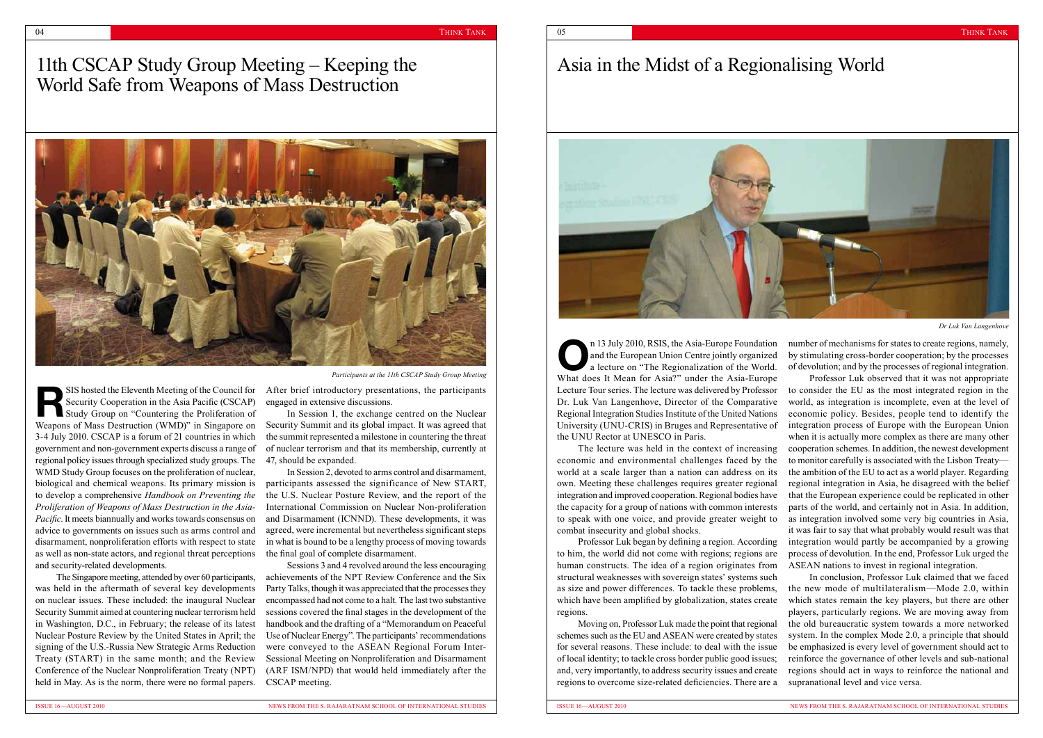## 11th CSCAP Study Group Meeting – Keeping the World Safe from Weapons of Mass Destruction



**RES**<br>SIS hosted the Eleventh Meeting of the Council for<br>Study Group on "Countering the Proliferation of<br>Wegnerate of Mass Destruction (WAD)" in Singapage on Security Cooperation in the Asia Pacific (CSCAP) Weapons of Mass Destruction (WMD)" in Singapore on 3-4 July 2010. CSCAP is a forum of 21 countries in which government and non-government experts discuss a range of regional policy issues through specialized study groups. The WMD Study Group focuses on the proliferation of nuclear, biological and chemical weapons. Its primary mission is to develop a comprehensive *Handbook on Preventing the Proliferation of Weapons of Mass Destruction in the Asia-Pacific*. It meets biannually and works towards consensus on advice to governments on issues such as arms control and disarmament, nonproliferation efforts with respect to state as well as non-state actors, and regional threat perceptions and security-related developments. SIS hosted the Eleventh Meeting of the Council for After brief introductory presentations, the participants

# Asia in the Midst of a Regionalising World



economic and environmental challenges faced by the world at a scale larger than a nation can address on its own. Meeting these challenges requires greater regional integration and improved cooperation. Regional bodies have the capacity for a group of nations with common interests combat insecurity and global shocks.

to him, the world did not come with regions; regions are human constructs. The idea of a region originates from structural weaknesses with sovereign states' systems such as size and power differences. To tackle these problems, which have been amplified by globalization, states create regions.

n 13 July 2010, RSIS, the Asia-Europe Foundation<br>and the European Union Centre jointly organized<br>a lecture on "The Regionalization of the World. and the European Union Centre jointly organized a lecture on "The Regionalization of the World. What does It Mean for Asia?" under the Asia-Europe Lecture Tour series. The lecture was delivered by Professor Dr. Luk Van Langenhove, Director of the Comparative Regional Integration Studies Institute of the United Nations University (UNU-CRIS) in Bruges and Representative of the UNU Rector at UNESCO in Paris. The lecture was held in the context of increasing to speak with one voice, and provide greater weight to Professor Luk began by defining a region. According number of mechanisms for states to create regions, namely, by stimulating cross-border cooperation; by the processes of devolution; and by the processes of regional integration. Professor Luk observed that it was not appropriate to consider the EU as the most integrated region in the world, as integration is incomplete, even at the level of economic policy. Besides, people tend to identify the integration process of Europe with the European Union when it is actually more complex as there are many other cooperation schemes. In addition, the newest development to monitor carefully is associated with the Lisbon Treaty the ambition of the EU to act as a world player. Regarding regional integration in Asia, he disagreed with the belief that the European experience could be replicated in other parts of the world, and certainly not in Asia. In addition, as integration involved some very big countries in Asia, it was fair to say that what probably would result was that integration would partly be accompanied by a growing process of devolution. In the end, Professor Luk urged the ASEAN nations to invest in regional integration.

Moving on, Professor Luk made the point that regional schemes such as the EU and ASEAN were created by states for several reasons. These include: to deal with the issue of local identity; to tackle cross border public good issues; and, very importantly, to address security issues and create regions to overcome size-related deficiencies. There are a In conclusion, Professor Luk claimed that we faced the new mode of multilateralism—Mode 2.0, within which states remain the key players, but there are other players, particularly regions. We are moving away from the old bureaucratic system towards a more networked system. In the complex Mode 2.0, a principle that should be emphasized is every level of government should act to reinforce the governance of other levels and sub-national regions should act in ways to reinforce the national and supranational level and vice versa.

The Singapore meeting, attended by over 60 participants, was held in the aftermath of several key developments on nuclear issues. These included: the inaugural Nuclear Security Summit aimed at countering nuclear terrorism held in Washington, D.C., in February; the release of its latest Nuclear Posture Review by the United States in April; the signing of the U.S.-Russia New Strategic Arms Reduction Treaty (START) in the same month; and the Review Conference of the Nuclear Nonproliferation Treaty (NPT) held in May. As is the norm, there were no formal papers.

engaged in extensive discussions.

In Session 1, the exchange centred on the Nuclear Security Summit and its global impact. It was agreed that the summit represented a milestone in countering the threat of nuclear terrorism and that its membership, currently at 47, should be expanded.

In Session 2, devoted to arms control and disarmament, participants assessed the significance of New START, the U.S. Nuclear Posture Review, and the report of the International Commission on Nuclear Non-proliferation and Disarmament (ICNND). These developments, it was agreed, were incremental but nevertheless significant steps in what is bound to be a lengthy process of moving towards the final goal of complete disarmament.

Sessions 3 and 4 revolved around the less encouraging achievements of the NPT Review Conference and the Six Party Talks, though it was appreciated that the processes they encompassed had not come to a halt. The last two substantive sessions covered the final stages in the development of the handbook and the drafting of a "Memorandum on Peaceful Use of Nuclear Energy". The participants' recommendations were conveyed to the ASEAN Regional Forum Inter-Sessional Meeting on Nonproliferation and Disarmament (ARF ISM/NPD) that would held immediately after the CSCAP meeting.

*Participants at the 11th CSCAP Study Group Meeting*

*Dr Luk Van Langenhove*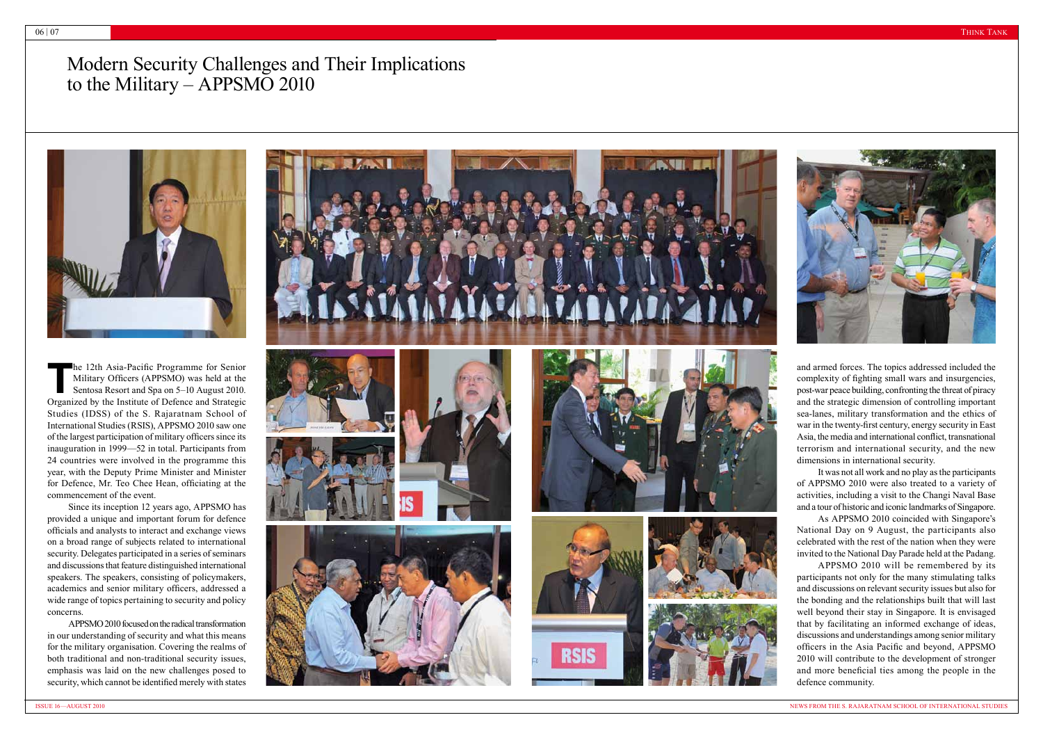

## Modern Security Challenges and Their Implications to the Military – APPSMO 2010



**The 12th Asia-Pacific Programme for Senior<br>Military Officers (APPSMO) was held at the<br>Sentosa Resort and Spa on 5–10 August 2010.** Military Officers (APPSMO) was held at the Sentosa Resort and Spa on 5–10 August 2010. Organized by the Institute of Defence and Strategic Studies (IDSS) of the S. Rajaratnam School of International Studies (RSIS), APPSMO 2010 saw one of the largest participation of military officers since its inauguration in 1999—52 in total. Participants from 24 countries were involved in the programme this year, with the Deputy Prime Minister and Minister for Defence, Mr. Teo Chee Hean, officiating at the commencement of the event.

Since its inception 12 years ago, APPSMO has provided a unique and important forum for defence officials and analysts to interact and exchange views on a broad range of subjects related to international security. Delegates participated in a series of seminars and discussions that feature distinguished international speakers. The speakers, consisting of policymakers, academics and senior military officers, addressed a wide range of topics pertaining to security and policy concerns.

APPSMO 2010 focused on the radical transformation in our understanding of security and what this means for the military organisation. Covering the realms of both traditional and non-traditional security issues, emphasis was laid on the new challenges posed to security, which cannot be identified merely with states



and armed forces. The topics addressed included the complexity of fighting small wars and insurgencies, post-war peace building, confronting the threat of piracy and the strategic dimension of controlling important sea-lanes, military transformation and the ethics of war in the twenty-first century, energy security in East Asia, the media and international conflict, transnational terrorism and international security, and the new dimensions in international security.

It was not all work and no play as the participants of APPSMO 2010 were also treated to a variety of activities, including a visit to the Changi Naval Base and a tour of historic and iconic landmarks of Singapore.

As APPSMO 2010 coincided with Singapore's National Day on 9 August, the participants also celebrated with the rest of the nation when they were invited to the National Day Parade held at the Padang.

APPSMO 2010 will be remembered by its participants not only for the many stimulating talks and discussions on relevant security issues but also for the bonding and the relationships built that will last well beyond their stay in Singapore. It is envisaged that by facilitating an informed exchange of ideas, discussions and understandings among senior military officers in the Asia Pacific and beyond, APPSMO 2010 will contribute to the development of stronger and more beneficial ties among the people in the defence community.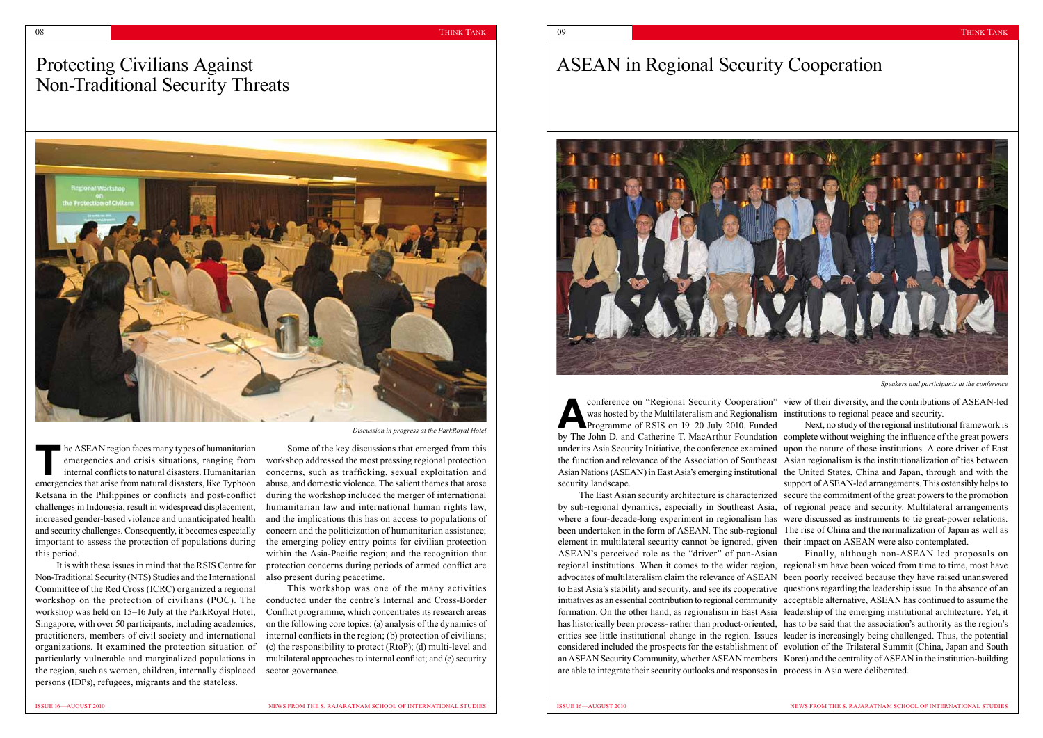# Protecting Civilians Against Non-Traditional Security Threats



# ASEAN in Regional Security Cooperation



**A Properties Conference on "Regional Security Cooperation"<br>
Was hosted by the Multilateralism and Regionalism<br>
Programme of RSIS on 19–20 July 2010. Funded** was hosted by the Multilateralism and Regionalism institutions to regional peace and security. Programme of RSIS on 19–20 July 2010. Funded by The John D. and Catherine T. MacArthur Foundation complete without weighing the influence of the great powers under its Asia Security Initiative, the conference examined upon the nature of those institutions. A core driver of East the function and relevance of the Association of Southeast Asian Nations (ASEAN) in East Asia's emerging institutional the United States, China and Japan, through and with the security landscape. The East Asian security architecture is characterized secure the commitment of the great powers to the promotion conference on "Regional Security Cooperation" view of their diversity, and the contributions of ASEAN-led Next, no study of the regional institutional framework is Asian regionalism is the institutionalization of ties between support of ASEAN-led arrangements. This ostensibly helps to

by sub-regional dynamics, especially in Southeast Asia, of regional peace and security. Multilateral arrangements where a four-decade-long experiment in regionalism has were discussed as instruments to tie great-power relations. been undertaken in the form of ASEAN. The sub-regional The rise of China and the normalization of Japan as well as element in multilateral security cannot be ignored, given their impact on ASEAN were also contemplated. ASEAN's perceived role as the "driver" of pan-Asian regional institutions. When it comes to the wider region, regionalism have been voiced from time to time, most have advocates of multilateralism claim the relevance of ASEAN been poorly received because they have raised unanswered to East Asia's stability and security, and see its cooperative questions regarding the leadership issue. In the absence of an initiatives as an essential contribution to regional community acceptable alternative, ASEAN has continued to assume the formation. On the other hand, as regionalism in East Asia leadership of the emerging institutional architecture. Yet, it has historically been process- rather than product-oriented, has to be said that the association's authority as the region's critics see little institutional change in the region. Issues leader is increasingly being challenged. Thus, the potential considered included the prospects for the establishment of evolution of the Trilateral Summit (China, Japan and South an ASEAN Security Community, whether ASEAN members Korea) and the centrality of ASEAN in the institution-building are able to integrate their security outlooks and responses in process in Asia were deliberated. Finally, although non-ASEAN led proposals on

**The ASEAN region faces many types of humanitarian<br>emergencies and crisis situations, ranging from<br>internal conflicts to natural disasters. Humanitarian<br>managements that exist from actual disasters, like Tunkaan** emergencies and crisis situations, ranging from internal conflicts to natural disasters. Humanitarian emergencies that arise from natural disasters, like Typhoon Ketsana in the Philippines or conflicts and post-conflict challenges in Indonesia, result in widespread displacement, increased gender-based violence and unanticipated health and security challenges. Consequently, it becomes especially important to assess the protection of populations during this period.

It is with these issues in mind that the RSIS Centre for Non-Traditional Security (NTS) Studies and the International Committee of the Red Cross (ICRC) organized a regional workshop on the protection of civilians (POC). The workshop was held on 15–16 July at the ParkRoyal Hotel, Singapore, with over 50 participants, including academics, practitioners, members of civil society and international organizations. It examined the protection situation of particularly vulnerable and marginalized populations in the region, such as women, children, internally displaced persons (IDPs), refugees, migrants and the stateless.

Some of the key discussions that emerged from this workshop addressed the most pressing regional protection concerns, such as trafficking, sexual exploitation and abuse, and domestic violence. The salient themes that arose during the workshop included the merger of international humanitarian law and international human rights law, and the implications this has on access to populations of concern and the politicization of humanitarian assistance; the emerging policy entry points for civilian protection within the Asia-Pacific region; and the recognition that protection concerns during periods of armed conflict are also present during peacetime.

This workshop was one of the many activities conducted under the centre's Internal and Cross-Border Conflict programme, which concentrates its research areas on the following core topics: (a) analysis of the dynamics of internal conflicts in the region; (b) protection of civilians; (c) the responsibility to protect (RtoP); (d) multi-level and multilateral approaches to internal conflict; and (e) security sector governance.

*Discussion in progress at the ParkRoyal Hotel*

*Speakers and participants at the conference*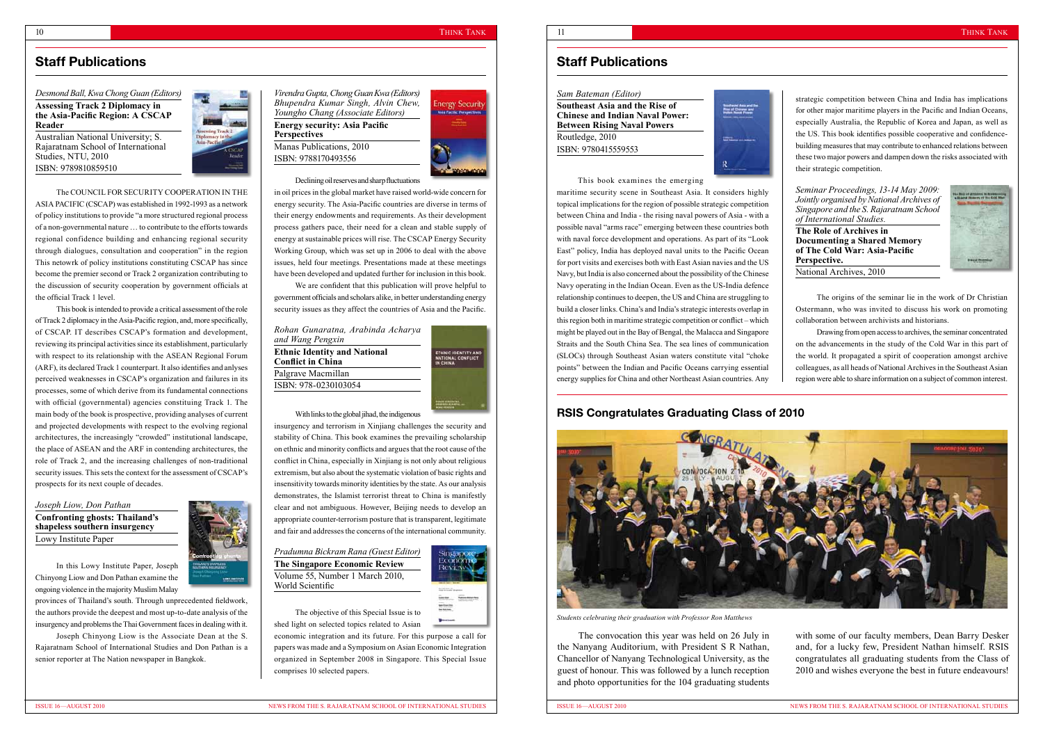#### THINK TANK

strategic competition between China and India has implications for other major maritime players in the Pacific and Indian Oceans, especially Australia, the Republic of Korea and Japan, as well as the US. This book identifies possible cooperative and confidencebuilding measures that may contribute to enhanced relations between these two major powers and dampen down the risks associated with their strategic competition.

*Seminar Proceedings, 13-14 May 2009: Jointly organised by National Archives of Singapore and the S. Rajaratnam School of International Studies.*

**The Role of Archives in Documenting a Shared Memory of The Cold War: Asia-Pacific Perspective.** National Archives, 2010



The origins of the seminar lie in the work of Dr Christian Ostermann, who was invited to discuss his work on promoting collaboration between archivists and historians.

Drawing from open access to archives, the seminar concentrated on the advancements in the study of the Cold War in this part of the world. It propagated a spirit of cooperation amongst archive colleagues, as all heads of National Archives in the Southeast Asian region were able to share information on a subject of common interest.

#### *Sam Bateman (Editor)*

**Southeast Asia and the Rise of Chinese and Indian Naval Power: Between Rising Naval Powers** Routledge, 2010 ISBN: 9780415559553



### This book examines the emerging

maritime security scene in Southeast Asia. It considers highly topical implications for the region of possible strategic competition between China and India - the rising naval powers of Asia - with a possible naval "arms race" emerging between these countries both with naval force development and operations. As part of its "Look East" policy, India has deployed naval units to the Pacific Ocean for port visits and exercises both with East Asian navies and the US Navy, but India is also concerned about the possibility of the Chinese Navy operating in the Indian Ocean. Even as the US-India defence relationship continues to deepen, the US and China are struggling to build a closer links. China's and India's strategic interests overlap in this region both in maritime strategic competition or conflict – which might be played out in the Bay of Bengal, the Malacca and Singapore Straits and the South China Sea. The sea lines of communication (SLOCs) through Southeast Asian waters constitute vital "choke points" between the Indian and Pacific Oceans carrying essential energy supplies for China and other Northeast Asian countries. Any

## **Staff Publications Staff Publications**

*Desmond Ball, Kwa Chong Guan (Editors)* **Assessing Track 2 Diplomacy in** 

**the Asia-Pacific Region: A CSCAP Reader**

Australian National University; S. Rajaratnam School of International Studies, NTU, 2010 ISBN: 9789810859510



The COUNCIL FOR SECURITY COOPERATION IN THE ASIA PACIFIC (CSCAP) was established in 1992-1993 as a network of policy institutions to provide "a more structured regional process of a non-governmental nature … to contribute to the efforts towards regional confidence building and enhancing regional security through dialogues, consultation and cooperation" in the region This netowrk of policy institutions constituting CSCAP has since become the premier second or Track 2 organization contributing to the discussion of security cooperation by government officials at the official Track 1 level.

This book is intended to provide a critical assessment of the role of Track 2 diplomacy in the Asia-Pacific region, and, more specifically, of CSCAP. IT describes CSCAP's formation and development, reviewing its principal activities since its establishment, particularly with respect to its relationship with the ASEAN Regional Forum (ARF), its declared Track 1 counterpart. It also identifies and anlyses perceived weaknesses in CSCAP's organization and failures in its processes, some of which derive from its fundamental connections with official (governmental) agencies constituing Track 1. The main body of the book is prospective, providing analyses of current and projected developments with respect to the evolving regional architectures, the increasingly "crowded" institutional landscape, the place of ASEAN and the ARF in contending architectures, the role of Track 2, and the increasing challenges of non-traditional security issues. This sets the context for the assessment of CSCAP's prospects for its next couple of decades.

*Joseph Liow, Don Pathan*  **Confronting ghosts: Thailand's shapeless southern insurgency** Lowy Institute Paper

In this Lowy Institute Paper, Joseph Chinyong Liow and Don Pathan examine the ongoing violence in the majority Muslim Malay

provinces of Thailand's south. Through unprecedented fieldwork, the authors provide the deepest and most up-to-date analysis of the insurgency and problems the Thai Government faces in dealing with it.

Joseph Chinyong Liow is the Associate Dean at the S. Rajaratnam School of International Studies and Don Pathan is a senior reporter at The Nation newspaper in Bangkok.

*Virendra Gupta, Chong Guan Kwa (Editors) Bhupendra Kumar Singh, Alvin Chew, Youngho Chang (Associate Editors)* **Energy security: Asia Pacific Perspectives**  Manas Publications, 2010 ISBN: 9788170493556



Declining oil reserves and sharp fluctuations

in oil prices in the global market have raised world-wide concern for energy security. The Asia-Pacific countries are diverse in terms of their energy endowments and requirements. As their development process gathers pace, their need for a clean and stable supply of energy at sustainable prices will rise. The CSCAP Energy Security Working Group, which was set up in 2006 to deal with the above issues, held four meetings. Presentations made at these meetings have been developed and updated further for inclusion in this book.

We are confident that this publication will prove helpful to government officials and scholars alike, in better understanding energy security issues as they affect the countries of Asia and the Pacific.

| Rohan Gunaratna, Arabinda Acharya<br>and Wang Pengxin<br><b>Ethnic Identity and National</b><br><b>Conflict in China</b> | ETHNIC IDENTITY AN<br>NATIONAL CONFLICT<br>IN CHINA |
|--------------------------------------------------------------------------------------------------------------------------|-----------------------------------------------------|
|                                                                                                                          |                                                     |
| ISBN: 978-0230103054                                                                                                     |                                                     |
|                                                                                                                          |                                                     |

With links to the global jihad, the indigenous

insurgency and terrorism in Xinjiang challenges the security and stability of China. This book examines the prevailing scholarship on ethnic and minority conflicts and argues that the root cause of the conflict in China, especially in Xinjiang is not only about religious extremism, but also about the systematic violation of basic rights and insensitivity towards minority identities by the state. As our analysis demonstrates, the Islamist terrorist threat to China is manifestly clear and not ambiguous. However, Beijing needs to develop an appropriate counter-terrorism posture that is transparent, legitimate and fair and addresses the concerns of the international community.

*Pradumna Bickram Rana (Guest Editor)* **The Singapore Economic Review** Volume 55, Number 1 March 2010, World Scientific



The objective of this Special Issue is to shed light on selected topics related to Asian

economic integration and its future. For this purpose a call for papers was made and a Symposium on Asian Economic Integration organized in September 2008 in Singapore. This Special Issue comprises 10 selected papers.

The convocation this year was held on 26 July in the Nanyang Auditorium, with President S R Nathan, Chancellor of Nanyang Technological University, as the guest of honour. This was followed by a lunch reception and photo opportunities for the 104 graduating students



with some of our faculty members, Dean Barry Desker and, for a lucky few, President Nathan himself. RSIS congratulates all graduating students from the Class of 2010 and wishes everyone the best in future endeavours!

### **RSIS Congratulates Graduating Class of 2010**



*Students celebrating their graduation with Professor Ron Matthews*